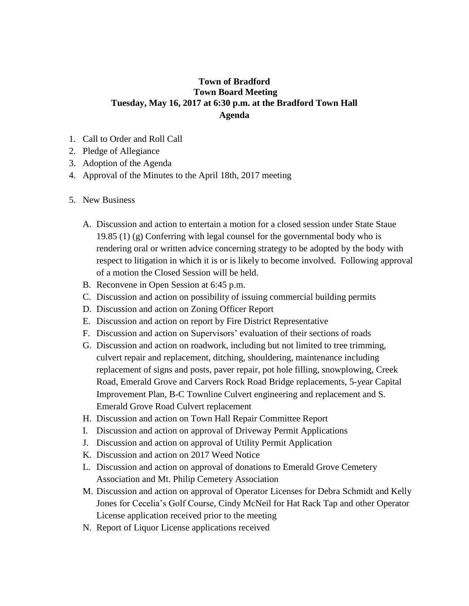## **Town of Bradford Town Board Meeting Tuesday, May 16, 2017 at 6:30 p.m. at the Bradford Town Hall Agenda**

- 1. Call to Order and Roll Call
- 2. Pledge of Allegiance
- 3. Adoption of the Agenda
- 4. Approval of the Minutes to the April 18th, 2017 meeting
- 5. New Business
	- A. Discussion and action to entertain a motion for a closed session under State Staue 19.85 (1) (g) Conferring with legal counsel for the governmental body who is rendering oral or written advice concerning strategy to be adopted by the body with respect to litigation in which it is or is likely to become involved. Following approval of a motion the Closed Session will be held.
	- B. Reconvene in Open Session at 6:45 p.m.
	- C. Discussion and action on possibility of issuing commercial building permits
	- D. Discussion and action on Zoning Officer Report
	- E. Discussion and action on report by Fire District Representative
	- F. Discussion and action on Supervisors' evaluation of their sections of roads
	- G. Discussion and action on roadwork, including but not limited to tree trimming, culvert repair and replacement, ditching, shouldering, maintenance including replacement of signs and posts, paver repair, pot hole filling, snowplowing, Creek Road, Emerald Grove and Carvers Rock Road Bridge replacements, 5-year Capital Improvement Plan, B-C Townline Culvert engineering and replacement and S. Emerald Grove Road Culvert replacement
	- H. Discussion and action on Town Hall Repair Committee Report
	- I. Discussion and action on approval of Driveway Permit Applications
	- J. Discussion and action on approval of Utility Permit Application
	- K. Discussion and action on 2017 Weed Notice
	- L. Discussion and action on approval of donations to Emerald Grove Cemetery Association and Mt. Philip Cemetery Association
	- M. Discussion and action on approval of Operator Licenses for Debra Schmidt and Kelly Jones for Cecelia's Golf Course, Cindy McNeil for Hat Rack Tap and other Operator License application received prior to the meeting
	- N. Report of Liquor License applications received